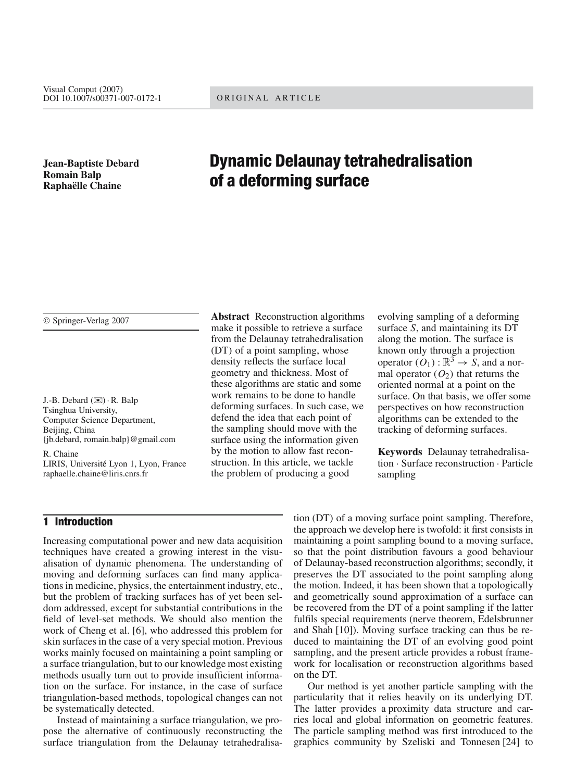**Jean-Baptiste Debard Romain Balp Raphaelle Chaine ¨**

# **Dynamic Delaunay tetrahedralisation of a deforming surface**

© Springer-Verlag 2007

J.-B. Debard  $(\mathbb{Z}) \cdot R$ . Balp Tsinghua University, Computer Science Department, Beijing, China {jb.debard, romain.balp}@gmail.com R. Chaine

LIRIS, Université Lyon 1, Lyon, France raphaelle.chaine@liris.cnrs.fr

**Abstract** Reconstruction algorithms make it possible to retrieve a surface from the Delaunay tetrahedralisation (DT) of a point sampling, whose density reflects the surface local geometry and thickness. Most of these algorithms are static and some work remains to be done to handle deforming surfaces. In such case, we defend the idea that each point of the sampling should move with the surface using the information given by the motion to allow fast reconstruction. In this article, we tackle the problem of producing a good

evolving sampling of a deforming surface *S*, and maintaining its DT along the motion. The surface is known only through a projection operator  $(O_1) : \mathbb{R}^3 \to S$ , and a normal operator  $(O_2)$  that returns the oriented normal at a point on the surface. On that basis, we offer some perspectives on how reconstruction algorithms can be extended to the tracking of deforming surfaces.

**Keywords** Delaunay tetrahedralisation · Surface reconstruction · Particle sampling

# **1 Introduction**

Increasing computational power and new data acquisition techniques have created a growing interest in the visualisation of dynamic phenomena. The understanding of moving and deforming surfaces can find many applications in medicine, physics, the entertainment industry, etc., but the problem of tracking surfaces has of yet been seldom addressed, except for substantial contributions in the field of level-set methods. We should also mention the work of Cheng et al. [6], who addressed this problem for skin surfaces in the case of a very special motion. Previous works mainly focused on maintaining a point sampling or a surface triangulation, but to our knowledge most existing methods usually turn out to provide insufficient information on the surface. For instance, in the case of surface triangulation-based methods, topological changes can not be systematically detected.

Instead of maintaining a surface triangulation, we propose the alternative of continuously reconstructing the surface triangulation from the Delaunay tetrahedralisation (DT) of a moving surface point sampling. Therefore, the approach we develop here is twofold: it first consists in maintaining a point sampling bound to a moving surface, so that the point distribution favours a good behaviour of Delaunay-based reconstruction algorithms; secondly, it preserves the DT associated to the point sampling along the motion. Indeed, it has been shown that a topologically and geometrically sound approximation of a surface can be recovered from the DT of a point sampling if the latter fulfils special requirements (nerve theorem, Edelsbrunner and Shah [10]). Moving surface tracking can thus be reduced to maintaining the DT of an evolving good point sampling, and the present article provides a robust framework for localisation or reconstruction algorithms based on the DT.

Our method is yet another particle sampling with the particularity that it relies heavily on its underlying DT. The latter provides a proximity data structure and carries local and global information on geometric features. The particle sampling method was first introduced to the graphics community by Szeliski and Tonnesen [24] to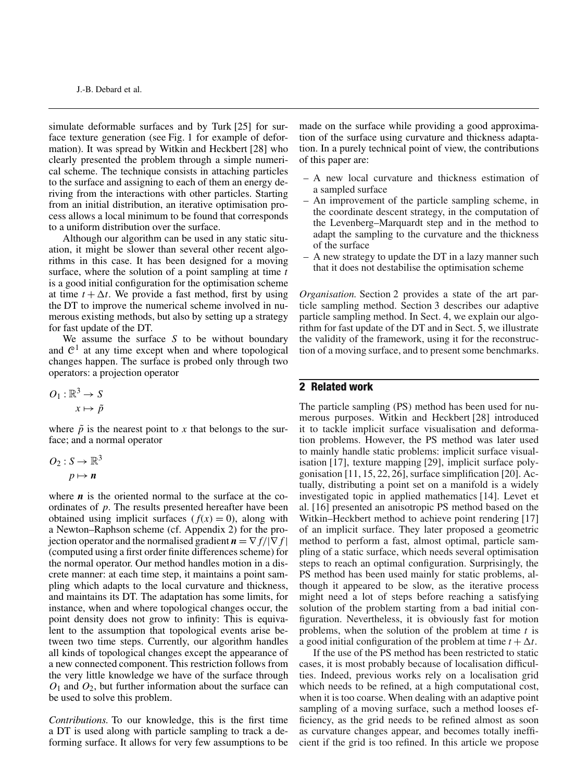#### J.-B. Debard et al.

simulate deformable surfaces and by Turk [25] for surface texture generation (see Fig. 1 for example of deformation). It was spread by Witkin and Heckbert [28] who clearly presented the problem through a simple numerical scheme. The technique consists in attaching particles to the surface and assigning to each of them an energy deriving from the interactions with other particles. Starting from an initial distribution, an iterative optimisation process allows a local minimum to be found that corresponds to a uniform distribution over the surface.

Although our algorithm can be used in any static situation, it might be slower than several other recent algorithms in this case. It has been designed for a moving surface, where the solution of a point sampling at time *t* is a good initial configuration for the optimisation scheme at time  $t + \Delta t$ . We provide a fast method, first by using the DT to improve the numerical scheme involved in numerous existing methods, but also by setting up a strategy for fast update of the DT.

We assume the surface *S* to be without boundary and  $C<sup>1</sup>$  at any time except when and where topological changes happen. The surface is probed only through two operators: a projection operator

$$
O_1: \mathbb{R}^3 \to S
$$

$$
x \mapsto \tilde{p}
$$

where  $\tilde{p}$  is the nearest point to *x* that belongs to the surface; and a normal operator

$$
O_2: S \to \mathbb{R}^3
$$

$$
p \mapsto n
$$

where  $n$  is the oriented normal to the surface at the coordinates of *p*. The results presented hereafter have been obtained using implicit surfaces ( $f(x) = 0$ ), along with a Newton–Raphson scheme (cf. Appendix 2) for the projection operator and the normalised gradient  $\mathbf{n} = \nabla f / |\nabla f|$ (computed using a first order finite differences scheme) for the normal operator. Our method handles motion in a discrete manner: at each time step, it maintains a point sampling which adapts to the local curvature and thickness, and maintains its DT. The adaptation has some limits, for instance, when and where topological changes occur, the point density does not grow to infinity: This is equivalent to the assumption that topological events arise between two time steps. Currently, our algorithm handles all kinds of topological changes except the appearance of a new connected component. This restriction follows from the very little knowledge we have of the surface through  $O_1$  and  $O_2$ , but further information about the surface can be used to solve this problem.

*Contributions.* To our knowledge, this is the first time a DT is used along with particle sampling to track a deforming surface. It allows for very few assumptions to be made on the surface while providing a good approximation of the surface using curvature and thickness adaptation. In a purely technical point of view, the contributions of this paper are:

- A new local curvature and thickness estimation of a sampled surface
- An improvement of the particle sampling scheme, in the coordinate descent strategy, in the computation of the Levenberg–Marquardt step and in the method to adapt the sampling to the curvature and the thickness of the surface
- A new strategy to update the DT in a lazy manner such that it does not destabilise the optimisation scheme

*Organisation.* Section 2 provides a state of the art particle sampling method. Section 3 describes our adaptive particle sampling method. In Sect. 4, we explain our algorithm for fast update of the DT and in Sect. 5, we illustrate the validity of the framework, using it for the reconstruction of a moving surface, and to present some benchmarks.

# **2 Related work**

The particle sampling (PS) method has been used for numerous purposes. Witkin and Heckbert [28] introduced it to tackle implicit surface visualisation and deformation problems. However, the PS method was later used to mainly handle static problems: implicit surface visualisation [17], texture mapping [29], implicit surface polygonisation [11, 15, 22, 26], surface simplification [20]. Actually, distributing a point set on a manifold is a widely investigated topic in applied mathematics [14]. Levet et al. [16] presented an anisotropic PS method based on the Witkin–Heckbert method to achieve point rendering [17] of an implicit surface. They later proposed a geometric method to perform a fast, almost optimal, particle sampling of a static surface, which needs several optimisation steps to reach an optimal configuration. Surprisingly, the PS method has been used mainly for static problems, although it appeared to be slow, as the iterative process might need a lot of steps before reaching a satisfying solution of the problem starting from a bad initial configuration. Nevertheless, it is obviously fast for motion problems, when the solution of the problem at time *t* is a good initial configuration of the problem at time  $t + \Delta t$ .

If the use of the PS method has been restricted to static cases, it is most probably because of localisation difficulties. Indeed, previous works rely on a localisation grid which needs to be refined, at a high computational cost, when it is too coarse. When dealing with an adaptive point sampling of a moving surface, such a method looses efficiency, as the grid needs to be refined almost as soon as curvature changes appear, and becomes totally inefficient if the grid is too refined. In this article we propose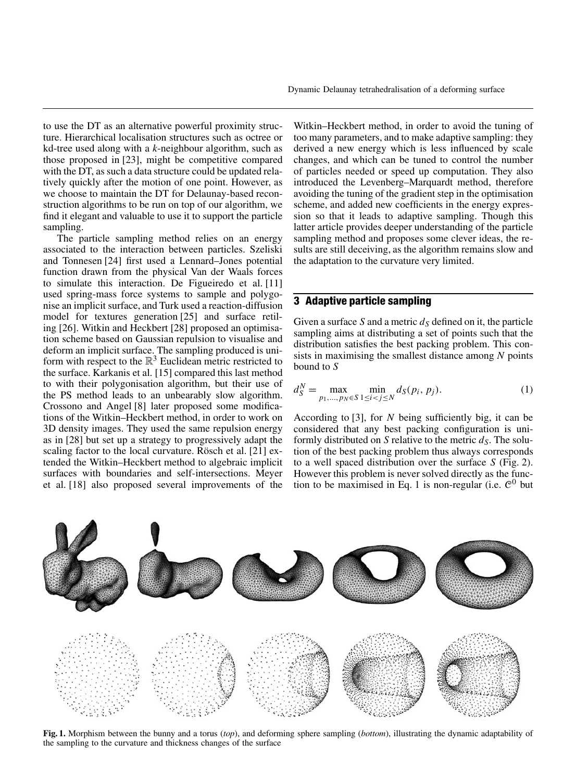to use the DT as an alternative powerful proximity structure. Hierarchical localisation structures such as octree or kd-tree used along with a *k*-neighbour algorithm, such as those proposed in [23], might be competitive compared with the DT, as such a data structure could be updated relatively quickly after the motion of one point. However, as we choose to maintain the DT for Delaunay-based reconstruction algorithms to be run on top of our algorithm, we find it elegant and valuable to use it to support the particle sampling.

The particle sampling method relies on an energy associated to the interaction between particles. Szeliski and Tonnesen [24] first used a Lennard–Jones potential function drawn from the physical Van der Waals forces to simulate this interaction. De Figueiredo et al. [11] used spring-mass force systems to sample and polygonise an implicit surface, and Turk used a reaction-diffusion model for textures generation [25] and surface retiling [26]. Witkin and Heckbert [28] proposed an optimisation scheme based on Gaussian repulsion to visualise and deform an implicit surface. The sampling produced is uniform with respect to the  $\mathbb{R}^3$  Euclidean metric restricted to the surface. Karkanis et al. [15] compared this last method to with their polygonisation algorithm, but their use of the PS method leads to an unbearably slow algorithm. Crossono and Angel [8] later proposed some modifications of the Witkin–Heckbert method, in order to work on 3D density images. They used the same repulsion energy as in [28] but set up a strategy to progressively adapt the scaling factor to the local curvature. Rösch et al. [21] extended the Witkin–Heckbert method to algebraic implicit surfaces with boundaries and self-intersections. Meyer et al. [18] also proposed several improvements of the

Witkin–Heckbert method, in order to avoid the tuning of too many parameters, and to make adaptive sampling: they derived a new energy which is less influenced by scale changes, and which can be tuned to control the number of particles needed or speed up computation. They also introduced the Levenberg–Marquardt method, therefore avoiding the tuning of the gradient step in the optimisation scheme, and added new coefficients in the energy expression so that it leads to adaptive sampling. Though this latter article provides deeper understanding of the particle sampling method and proposes some clever ideas, the results are still deceiving, as the algorithm remains slow and the adaptation to the curvature very limited.

# **3 Adaptive particle sampling**

Given a surface S and a metric  $d<sub>S</sub>$  defined on it, the particle sampling aims at distributing a set of points such that the distribution satisfies the best packing problem. This consists in maximising the smallest distance among *N* points bound to *S*

$$
d_S^N = \max_{p_1, \dots, p_N \in S} \min_{1 \le i < j \le N} d_S(p_i, p_j). \tag{1}
$$

According to [3], for *N* being sufficiently big, it can be considered that any best packing configuration is uniformly distributed on  $S$  relative to the metric  $d_S$ . The solution of the best packing problem thus always corresponds to a well spaced distribution over the surface *S* (Fig. 2). However this problem is never solved directly as the function to be maximised in Eq. 1 is non-regular (i.e.  $C^0$  but



**Fig. 1.** Morphism between the bunny and a torus (*top*), and deforming sphere sampling (*bottom*), illustrating the dynamic adaptability of the sampling to the curvature and thickness changes of the surface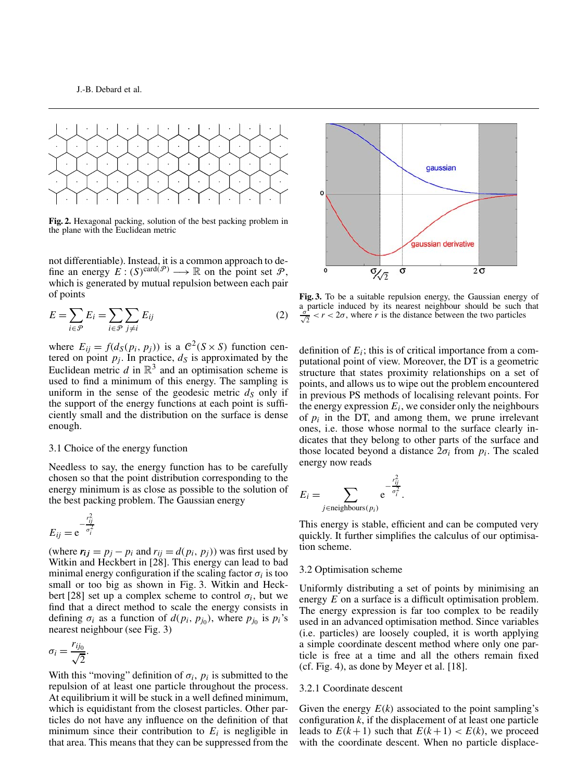

**Fig. 2.** Hexagonal packing, solution of the best packing problem in the plane with the Euclidean metric

not differentiable). Instead, it is a common approach to define an energy  $E: (S)^{\text{card}(\mathcal{P})} \longrightarrow \mathbb{R}$  on the point set  $\mathcal{P}$ , which is generated by mutual repulsion between each pair of points

$$
E = \sum_{i \in \mathcal{P}} E_i = \sum_{i \in \mathcal{P}} \sum_{j \neq i} E_{ij}
$$
 (2)

where  $E_{ij} = f(d_S(p_i, p_j))$  is a  $\mathcal{C}^2(S \times S)$  function centered on point  $p_j$ . In practice,  $d_S$  is approximated by the Euclidean metric  $d$  in  $\mathbb{R}^3$  and an optimisation scheme is used to find a minimum of this energy. The sampling is uniform in the sense of the geodesic metric  $d<sub>S</sub>$  only if the support of the energy functions at each point is sufficiently small and the distribution on the surface is dense enough.

## 3.1 Choice of the energy function

Needless to say, the energy function has to be carefully chosen so that the point distribution corresponding to the energy minimum is as close as possible to the solution of the best packing problem. The Gaussian energy

$$
E_{ij} = e^{-\frac{r_{ij}^2}{\sigma_i^2}}
$$

(where  $r_{ij} = p_j - p_i$  and  $r_{ij} = d(p_i, p_j)$ ) was first used by Witkin and Heckbert in [28]. This energy can lead to bad minimal energy configuration if the scaling factor  $\sigma_i$  is too small or too big as shown in Fig. 3. Witkin and Heckbert [28] set up a complex scheme to control  $\sigma_i$ , but we find that a direct method to scale the energy consists in defining  $\sigma_i$  as a function of  $d(p_i, p_{j_0})$ , where  $p_{j_0}$  is  $p_i$ 's nearest neighbour (see Fig. 3)

$$
\sigma_i = \frac{r_{ij_0}}{\sqrt{2}}.
$$

With this "moving" definition of  $\sigma_i$ ,  $p_i$  is submitted to the repulsion of at least one particle throughout the process. At equilibrium it will be stuck in a well defined minimum, which is equidistant from the closest particles. Other particles do not have any influence on the definition of that minimum since their contribution to  $E_i$  is negligible in that area. This means that they can be suppressed from the



**Fig. 3.** To be a suitable repulsion energy, the Gaussian energy of a particle induced by its nearest neighbour should be such that  $\frac{\sigma^2}{\sqrt{2}} < r < 2\sigma$ , where *r* is the distance between the two particles

definition of  $E_i$ ; this is of critical importance from a computational point of view. Moreover, the DT is a geometric structure that states proximity relationships on a set of points, and allows us to wipe out the problem encountered in previous PS methods of localising relevant points. For the energy expression  $E_i$ , we consider only the neighbours of  $p_i$  in the DT, and among them, we prune irrelevant ones, i.e. those whose normal to the surface clearly indicates that they belong to other parts of the surface and those located beyond a distance  $2\sigma_i$  from  $p_i$ . The scaled energy now reads

$$
E_i = \sum_{j \in \text{neighbours}(p_i)} e^{-\frac{r_{ij}^2}{\sigma_i^2}}.
$$

This energy is stable, efficient and can be computed very quickly. It further simplifies the calculus of our optimisation scheme.

#### 3.2 Optimisation scheme

Uniformly distributing a set of points by minimising an energy *E* on a surface is a difficult optimisation problem. The energy expression is far too complex to be readily used in an advanced optimisation method. Since variables (i.e. particles) are loosely coupled, it is worth applying a simple coordinate descent method where only one particle is free at a time and all the others remain fixed (cf. Fig. 4), as done by Meyer et al. [18].

#### 3.2.1 Coordinate descent

Given the energy  $E(k)$  associated to the point sampling's configuration *k*, if the displacement of at least one particle leads to  $E(k+1)$  such that  $E(k+1) < E(k)$ , we proceed with the coordinate descent. When no particle displace-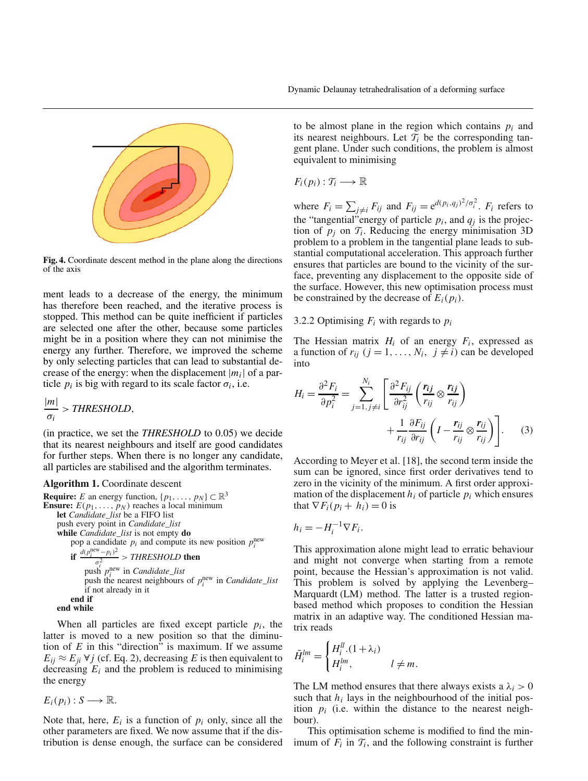

**Fig. 4.** Coordinate descent method in the plane along the directions of the axis

ment leads to a decrease of the energy, the minimum has therefore been reached, and the iterative process is stopped. This method can be quite inefficient if particles are selected one after the other, because some particles might be in a position where they can not minimise the energy any further. Therefore, we improved the scheme by only selecting particles that can lead to substantial decrease of the energy: when the displacement  $|m_i|$  of a particle  $p_i$  is big with regard to its scale factor  $\sigma_i$ , i.e.

$$
\frac{|m|}{\sigma_i} > \text{THRESHOLD},
$$

(in practice, we set the *THRESHOLD* to 0.05) we decide that its nearest neighbours and itself are good candidates for further steps. When there is no longer any candidate, all particles are stabilised and the algorithm terminates.

#### **Algorithm 1.** Coordinate descent

**Require:** *E* an energy function,  $\{p_1, \ldots, p_N\} \subset \mathbb{R}^3$ **Ensure:**  $E(p_1, \ldots, p_N)$  reaches a local minimum **let** *Candidate*\_*list* be a FIFO list push every point in *Candidate*\_*list* **while** *Candidate*\_*list* is not empty **do** pop a candidate  $p_i$  and compute its new position  $p_i^{\text{new}}$ **if**  $\frac{d(p_i^{\text{new}} - p_i)^2}{2}$  $\frac{P_{12}}{\sigma_i^2}$  > *THRESHOLD* then *i* push *p*new *<sup>i</sup>* in *Candidate*\_*list* push the nearest neighbours of  $p_i^{\text{new}}$  in *Candidate\_list* if not already in it **end if end while**

When all particles are fixed except particle *pi*, the latter is moved to a new position so that the diminution of  $E$  in this "direction" is maximum. If we assume  $E_{ij} \approx E_{ji} \forall j$  (cf. Eq. 2), decreasing *E* is then equivalent to decreasing  $E_i$  and the problem is reduced to minimising the energy

$$
E_i(p_i):S\longrightarrow\mathbb{R}.
$$

Note that, here,  $E_i$  is a function of  $p_i$  only, since all the other parameters are fixed. We now assume that if the distribution is dense enough, the surface can be considered to be almost plane in the region which contains  $p_i$  and its nearest neighbours. Let  $\mathcal{T}_i$  be the corresponding tangent plane. Under such conditions, the problem is almost equivalent to minimising

$$
F_i(p_i): \mathcal{T}_i \longrightarrow \mathbb{R}
$$

where  $F_i = \sum_{j \neq i} F_{ij}$  and  $F_{ij} = e^{d(p_i, q_j)^2/\sigma_i^2}$ .  $F_i$  refers to the "tangential" energy of particle  $p_i$ , and  $q_j$  is the projection of  $p_i$  on  $\mathcal{T}_i$ . Reducing the energy minimisation 3D problem to a problem in the tangential plane leads to substantial computational acceleration. This approach further ensures that particles are bound to the vicinity of the surface, preventing any displacement to the opposite side of the surface. However, this new optimisation process must be constrained by the decrease of  $E_i(p_i)$ .

## 3.2.2 Optimising *Fi* with regards to *pi*

The Hessian matrix  $H_i$  of an energy  $F_i$ , expressed as a function of  $r_{ij}$  ( $j = 1, ..., N_i$ ,  $j \neq i$ ) can be developed into

$$
H_{i} = \frac{\partial^{2} F_{i}}{\partial p_{i}^{2}} = \sum_{j=1, j \neq i}^{N_{i}} \left[ \frac{\partial^{2} F_{ij}}{\partial r_{ij}^{2}} \left( \frac{\mathbf{r}_{ij}}{r_{ij}} \otimes \frac{\mathbf{r}_{ij}}{r_{ij}} \right) + \frac{1}{r_{ij}} \frac{\partial F_{ij}}{\partial r_{ij}} \left( I - \frac{\mathbf{r}_{ij}}{r_{ij}} \otimes \frac{\mathbf{r}_{ij}}{r_{ij}} \right) \right].
$$
 (3)

According to Meyer et al. [18], the second term inside the sum can be ignored, since first order derivatives tend to zero in the vicinity of the minimum. A first order approximation of the displacement  $h_i$  of particle  $p_i$  which ensures that  $\nabla F_i(p_i + h_i) = 0$  is

$$
h_i = -H_i^{-1} \nabla F_i.
$$

This approximation alone might lead to erratic behaviour and might not converge when starting from a remote point, because the Hessian's approximation is not valid. This problem is solved by applying the Levenberg– Marquardt (LM) method. The latter is a trusted regionbased method which proposes to condition the Hessian matrix in an adaptive way. The conditioned Hessian matrix reads

$$
\tilde{H}_i^{lm} = \begin{cases} H_i^{ll} . (1 + \lambda_i) \\ H_i^{lm}, & l \neq m. \end{cases}
$$

The LM method ensures that there always exists a  $\lambda_i > 0$ such that  $h_i$  lays in the neighbourhood of the initial position  $p_i$  (i.e. within the distance to the nearest neighbour).

This optimisation scheme is modified to find the minimum of  $F_i$  in  $\mathcal{T}_i$ , and the following constraint is further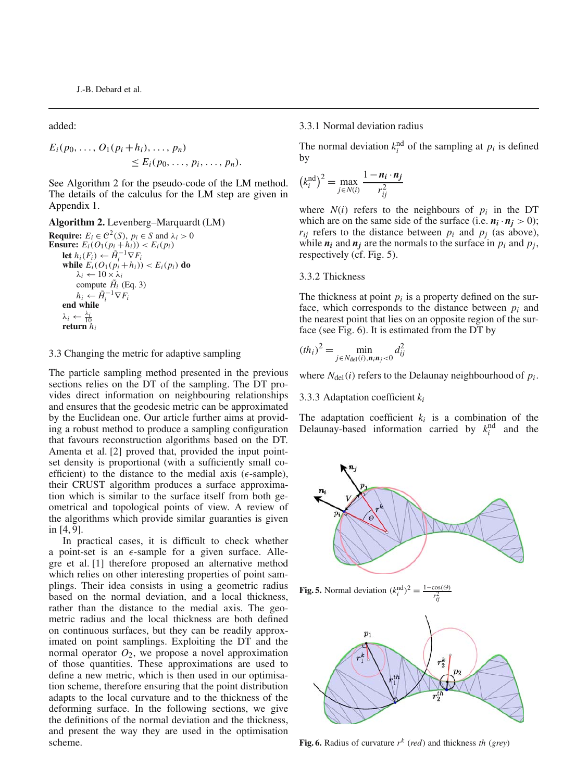added:

$$
E_i(p_0,\ldots,O_1(p_i+h_i),\ldots,p_n) \leq E_i(p_0,\ldots,p_i,\ldots,p_n).
$$

See Algorithm 2 for the pseudo-code of the LM method. The details of the calculus for the LM step are given in Appendix 1.

**Algorithm 2.** Levenberg–Marquardt (LM)

**Require:**  $E_i \in \mathbb{C}^2(S)$ ,  $p_i \in S$  and  $\lambda_i > 0$ **Ensure:**  $E_i(O_1(p_i + h_i)) < E_i(p_i)$ **let**  $h_i(F_i) \leftarrow \tilde{H}_i^{-1} \nabla F_i$ **while**  $E_i(O_1(p_i + h_i)) < E_i(p_i)$  **do**  $\lambda_i \leftarrow 10 \times \lambda_i$ compute  $\tilde{H}_i$  (Eq. 3)  $h_i \leftarrow \tilde{H}_i^{-1} \nabla F_i$ **end while**  $\lambda_i \leftarrow \frac{\lambda_i}{10}$ **return** *hi*

## 3.3 Changing the metric for adaptive sampling

The particle sampling method presented in the previous sections relies on the DT of the sampling. The DT provides direct information on neighbouring relationships and ensures that the geodesic metric can be approximated by the Euclidean one. Our article further aims at providing a robust method to produce a sampling configuration that favours reconstruction algorithms based on the DT. Amenta et al. [2] proved that, provided the input pointset density is proportional (with a sufficiently small coefficient) to the distance to the medial axis ( $\epsilon$ -sample), their CRUST algorithm produces a surface approximation which is similar to the surface itself from both geometrical and topological points of view. A review of the algorithms which provide similar guaranties is given in [4, 9].

In practical cases, it is difficult to check whether a point-set is an  $\epsilon$ -sample for a given surface. Allegre et al. [1] therefore proposed an alternative method which relies on other interesting properties of point samplings. Their idea consists in using a geometric radius based on the normal deviation, and a local thickness, rather than the distance to the medial axis. The geometric radius and the local thickness are both defined on continuous surfaces, but they can be readily approximated on point samplings. Exploiting the DT and the normal operator  $O_2$ , we propose a novel approximation of those quantities. These approximations are used to define a new metric, which is then used in our optimisation scheme, therefore ensuring that the point distribution adapts to the local curvature and to the thickness of the deforming surface. In the following sections, we give the definitions of the normal deviation and the thickness, and present the way they are used in the optimisation scheme.

## 3.3.1 Normal deviation radius

The normal deviation  $k_i^{\text{nd}}$  of the sampling at  $p_i$  is defined by

$$
\left(k_i^{\text{nd}}\right)^2 = \max_{j \in N(i)} \frac{1 - n_i \cdot n_j}{r_{ij}^2}
$$

where  $N(i)$  refers to the neighbours of  $p_i$  in the DT which are on the same side of the surface (i.e.  $n_i \cdot n_j > 0$ );  $r_{ij}$  refers to the distance between  $p_i$  and  $p_j$  (as above), while  $n_i$  and  $n_j$  are the normals to the surface in  $p_i$  and  $p_j$ , respectively (cf. Fig. 5).

## 3.3.2 Thickness

The thickness at point  $p_i$  is a property defined on the surface, which corresponds to the distance between *pi* and the nearest point that lies on an opposite region of the surface (see Fig. 6). It is estimated from the DT by

$$
(th_i)^2 = \min_{j \in N_{\text{del}}(i), n_i n_j < 0} d_{ij}^2
$$

where  $N_{\text{del}}(i)$  refers to the Delaunay neighbourhood of  $p_i$ .

## 3.3.3 Adaptation coefficient *ki*

The adaptation coefficient  $k_i$  is a combination of the Delaunay-based information carried by  $k_i^{\text{nd}}$  and the





**Fig. 6.** Radius of curvature *r<sup>k</sup>* (*red*) and thickness *th* (*grey*)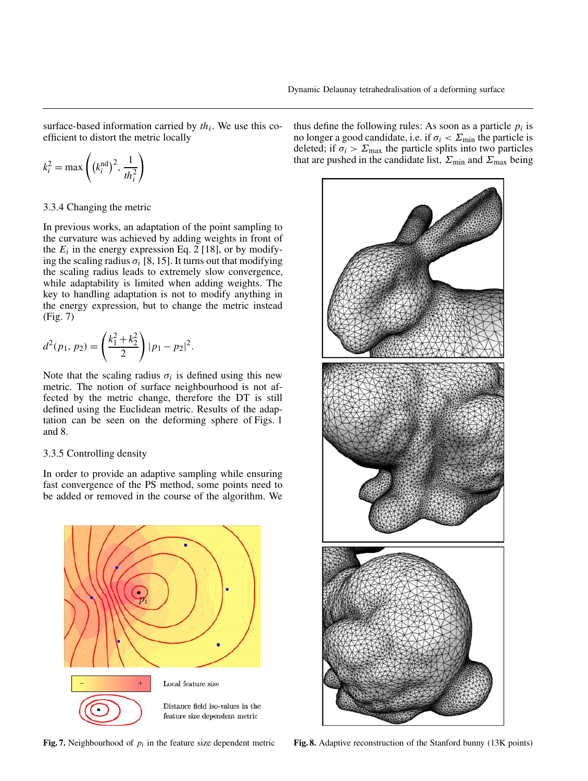surface-based information carried by *thi*. We use this coefficient to distort the metric locally

$$
k_i^2 = \max\left((k_i^{\text{nd}})^2, \frac{1}{th_i^2}\right)
$$

## 3.3.4 Changing the metric

In previous works, an adaptation of the point sampling to the curvature was achieved by adding weights in front of the  $E_i$  in the energy expression Eq. 2 [18], or by modifying the scaling radius  $\sigma_i$  [8, 15]. It turns out that modifying the scaling radius leads to extremely slow convergence, while adaptability is limited when adding weights. The key to handling adaptation is not to modify anything in the energy expression, but to change the metric instead (Fig. 7)

$$
d^{2}(p_{1}, p_{2}) = \left(\frac{k_{1}^{2} + k_{2}^{2}}{2}\right)|p_{1} - p_{2}|^{2}.
$$

Note that the scaling radius  $\sigma_i$  is defined using this new metric. The notion of surface neighbourhood is not affected by the metric change, therefore the DT is still defined using the Euclidean metric. Results of the adaptation can be seen on the deforming sphere of Figs. 1 and 8.

# 3.3.5 Controlling density

In order to provide an adaptive sampling while ensuring fast convergence of the PS method, some points need to be added or removed in the course of the algorithm. We



**Fig. 7.** Neighbourhood of  $p_i$  in the feature size dependent metric

thus define the following rules: As soon as a particle  $p_i$  is no longer a good candidate, i.e. if  $\sigma_i < \Sigma_{\text{min}}$  the particle is deleted; if  $\sigma_i > \Sigma_{\text{max}}$  the particle splits into two particles that are pushed in the candidate list,  $\Sigma_{\text{min}}$  and  $\Sigma_{\text{max}}$  being



**Fig. 8.** Adaptive reconstruction of the Stanford bunny (13K points)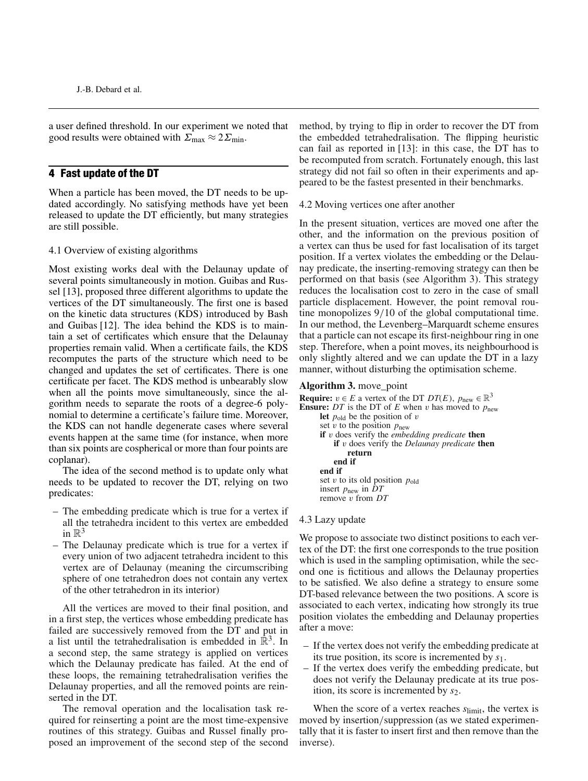a user defined threshold. In our experiment we noted that good results were obtained with  $\Sigma_{\text{max}} \approx 2 \Sigma_{\text{min}}$ .

# **4 Fast update of the DT**

When a particle has been moved, the DT needs to be updated accordingly. No satisfying methods have yet been released to update the DT efficiently, but many strategies are still possible.

## 4.1 Overview of existing algorithms

Most existing works deal with the Delaunay update of several points simultaneously in motion. Guibas and Russel [13], proposed three different algorithms to update the vertices of the DT simultaneously. The first one is based on the kinetic data structures (KDS) introduced by Bash and Guibas [12]. The idea behind the KDS is to maintain a set of certificates which ensure that the Delaunay properties remain valid. When a certificate fails, the KDS recomputes the parts of the structure which need to be changed and updates the set of certificates. There is one certificate per facet. The KDS method is unbearably slow when all the points move simultaneously, since the algorithm needs to separate the roots of a degree-6 polynomial to determine a certificate's failure time. Moreover, the KDS can not handle degenerate cases where several events happen at the same time (for instance, when more than six points are cospherical or more than four points are coplanar).

The idea of the second method is to update only what needs to be updated to recover the DT, relying on two predicates:

- The embedding predicate which is true for a vertex if all the tetrahedra incident to this vertex are embedded in  $\mathbb{R}^3$
- The Delaunay predicate which is true for a vertex if every union of two adjacent tetrahedra incident to this vertex are of Delaunay (meaning the circumscribing sphere of one tetrahedron does not contain any vertex of the other tetrahedron in its interior)

All the vertices are moved to their final position, and in a first step, the vertices whose embedding predicate has failed are successively removed from the DT and put in a list until the tetrahedralisation is embedded in  $\mathbb{R}^3$ . In a second step, the same strategy is applied on vertices which the Delaunay predicate has failed. At the end of these loops, the remaining tetrahedralisation verifies the Delaunay properties, and all the removed points are reinserted in the DT.

The removal operation and the localisation task required for reinserting a point are the most time-expensive routines of this strategy. Guibas and Russel finally proposed an improvement of the second step of the second method, by trying to flip in order to recover the DT from the embedded tetrahedralisation. The flipping heuristic can fail as reported in [13]: in this case, the DT has to be recomputed from scratch. Fortunately enough, this last strategy did not fail so often in their experiments and appeared to be the fastest presented in their benchmarks.

4.2 Moving vertices one after another

In the present situation, vertices are moved one after the other, and the information on the previous position of a vertex can thus be used for fast localisation of its target position. If a vertex violates the embedding or the Delaunay predicate, the inserting-removing strategy can then be performed on that basis (see Algorithm 3). This strategy reduces the localisation cost to zero in the case of small particle displacement. However, the point removal routine monopolizes 9/10 of the global computational time. In our method, the Levenberg–Marquardt scheme ensures that a particle can not escape its first-neighbour ring in one step. Therefore, when a point moves, its neighbourhood is only slightly altered and we can update the DT in a lazy manner, without disturbing the optimisation scheme.

## **Algorithm 3.** move\_point

```
Require: v \in E a vertex of the DT DT(E), p_{\text{new}} \in \mathbb{R}^3Ensure: DT is the DT of E when v has moved to p_{\text{new}}let p_{old} be the position of v
set v to the position p_{\text{new}}if v does verify the embedding predicate then
    if v does verify the Delaunay predicate then
        return
    end if
end if
set v to its old position p_{old}insert pnew in DT
remove v from DT
```
## 4.3 Lazy update

We propose to associate two distinct positions to each vertex of the DT: the first one corresponds to the true position which is used in the sampling optimisation, while the second one is fictitious and allows the Delaunay properties to be satisfied. We also define a strategy to ensure some DT-based relevance between the two positions. A score is associated to each vertex, indicating how strongly its true position violates the embedding and Delaunay properties after a move:

- If the vertex does not verify the embedding predicate at its true position, its score is incremented by *s*1.
- If the vertex does verify the embedding predicate, but does not verify the Delaunay predicate at its true position, its score is incremented by  $s_2$ .

When the score of a vertex reaches *s*limit, the vertex is moved by insertion/suppression (as we stated experimentally that it is faster to insert first and then remove than the inverse).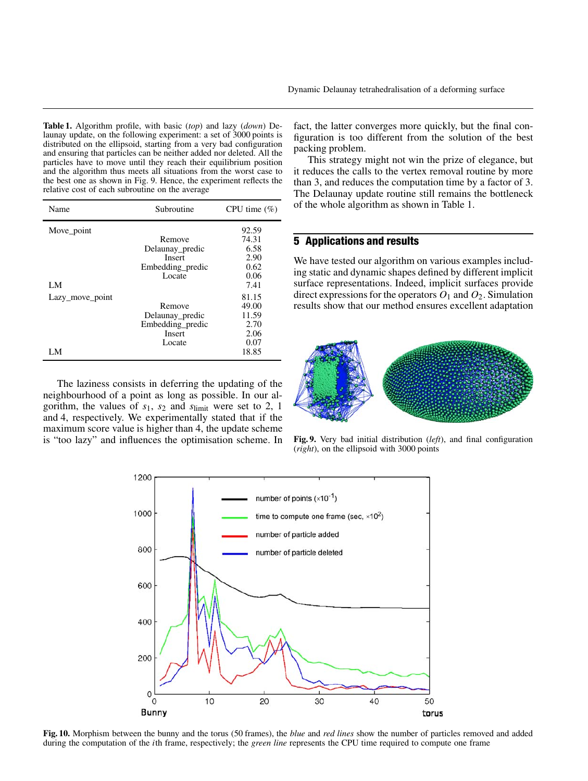**Table 1.** Algorithm profile, with basic (*top*) and lazy (*down*) Delaunay update, on the following experiment: a set of 3000 points is distributed on the ellipsoid, starting from a very bad configuration and ensuring that particles can be neither added nor deleted. All the particles have to move until they reach their equilibrium position and the algorithm thus meets all situations from the worst case to the best one as shown in Fig. 9. Hence, the experiment reflects the relative cost of each subroutine on the average

| Name                  | Subroutine                                                               | CPU time $(\%)$                                          |
|-----------------------|--------------------------------------------------------------------------|----------------------------------------------------------|
| Move_point<br>LM      | Remove<br>Delaunay predic<br><b>Insert</b><br>Embedding_predic<br>Locate | 92.59<br>74.31<br>6.58<br>2.90<br>0.62<br>0.06<br>7.41   |
| Lazy move point<br>LM | Remove<br>Delaunay_predic<br>Embedding predic<br><b>Insert</b><br>Locate | 81.15<br>49.00<br>11.59<br>2.70<br>2.06<br>0.07<br>18.85 |

The laziness consists in deferring the updating of the neighbourhood of a point as long as possible. In our algorithm, the values of *s*1, *s*<sup>2</sup> and *s*limit were set to 2, 1 and 4, respectively. We experimentally stated that if the maximum score value is higher than 4, the update scheme is "too lazy" and influences the optimisation scheme. In fact, the latter converges more quickly, but the final configuration is too different from the solution of the best packing problem.

This strategy might not win the prize of elegance, but it reduces the calls to the vertex removal routine by more than 3, and reduces the computation time by a factor of 3. The Delaunay update routine still remains the bottleneck of the whole algorithm as shown in Table 1.

# **5 Applications and results**

We have tested our algorithm on various examples including static and dynamic shapes defined by different implicit surface representations. Indeed, implicit surfaces provide direct expressions for the operators  $O_1$  and  $O_2$ . Simulation results show that our method ensures excellent adaptation



**Fig. 9.** Very bad initial distribution (*left*), and final configuration (*right*), on the ellipsoid with 3000 points



**Fig. 10.** Morphism between the bunny and the torus (50 frames), the *blue* and *red lines* show the number of particles removed and added during the computation of the *i*th frame, respectively; the *green line* represents the CPU time required to compute one frame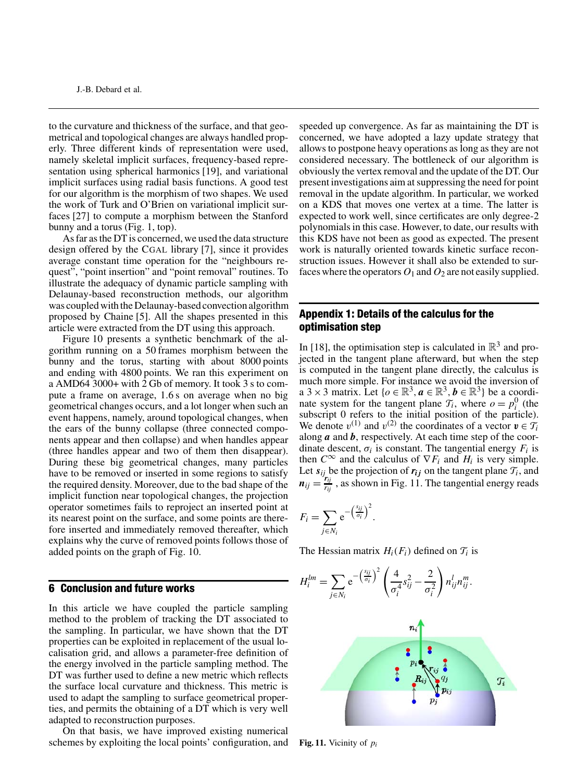#### J.-B. Debard et al.

to the curvature and thickness of the surface, and that geometrical and topological changes are always handled properly. Three different kinds of representation were used, namely skeletal implicit surfaces, frequency-based representation using spherical harmonics [19], and variational implicit surfaces using radial basis functions. A good test for our algorithm is the morphism of two shapes. We used the work of Turk and O'Brien on variational implicit surfaces [27] to compute a morphism between the Stanford bunny and a torus (Fig. 1, top).

As far as the DT is concerned, we used the data structure design offered by the CGAL library [7], since it provides average constant time operation for the "neighbours request", "point insertion" and "point removal" routines. To illustrate the adequacy of dynamic particle sampling with Delaunay-based reconstruction methods, our algorithm was coupled with the Delaunay-based convection algorithm proposed by Chaine [5]. All the shapes presented in this article were extracted from the DT using this approach.

Figure 10 presents a synthetic benchmark of the algorithm running on a 50 frames morphism between the bunny and the torus, starting with about 8000 points and ending with 4800 points. We ran this experiment on a AMD64 3000+ with 2 Gb of memory. It took 3 s to compute a frame on average, 1.6 s on average when no big geometrical changes occurs, and a lot longer when such an event happens, namely, around topological changes, when the ears of the bunny collapse (three connected components appear and then collapse) and when handles appear (three handles appear and two of them then disappear). During these big geometrical changes, many particles have to be removed or inserted in some regions to satisfy the required density. Moreover, due to the bad shape of the implicit function near topological changes, the projection operator sometimes fails to reproject an inserted point at its nearest point on the surface, and some points are therefore inserted and immediately removed thereafter, which explains why the curve of removed points follows those of added points on the graph of Fig. 10.

# **6 Conclusion and future works**

In this article we have coupled the particle sampling method to the problem of tracking the DT associated to the sampling. In particular, we have shown that the DT properties can be exploited in replacement of the usual localisation grid, and allows a parameter-free definition of the energy involved in the particle sampling method. The DT was further used to define a new metric which reflects the surface local curvature and thickness. This metric is used to adapt the sampling to surface geometrical properties, and permits the obtaining of a DT which is very well adapted to reconstruction purposes.

On that basis, we have improved existing numerical schemes by exploiting the local points' configuration, and speeded up convergence. As far as maintaining the DT is concerned, we have adopted a lazy update strategy that allows to postpone heavy operations as long as they are not considered necessary. The bottleneck of our algorithm is obviously the vertex removal and the update of the DT. Our present investigations aim at suppressing the need for point removal in the update algorithm. In particular, we worked on a KDS that moves one vertex at a time. The latter is expected to work well, since certificates are only degree-2 polynomials in this case. However, to date, our results with this KDS have not been as good as expected. The present work is naturally oriented towards kinetic surface reconstruction issues. However it shall also be extended to surfaces where the operators  $O_1$  and  $O_2$  are not easily supplied.

# **Appendix 1: Details of the calculus for the optimisation step**

In [18], the optimisation step is calculated in  $\mathbb{R}^3$  and projected in the tangent plane afterward, but when the step is computed in the tangent plane directly, the calculus is much more simple. For instance we avoid the inversion of a 3 × 3 matrix. Let { $o \in \mathbb{R}^3$ ,  $a \in \mathbb{R}^3$ ,  $b \in \mathbb{R}^3$ } be a coordinate system for the tangent plane  $\tilde{T}_i$ , where  $o = p_i^0$  (the subscript 0 refers to the initial position of the particle). We denote  $v^{(1)}$  and  $v^{(2)}$  the coordinates of a vector  $v \in \mathcal{T}_i$ along *a* and *b*, respectively. At each time step of the coordinate descent,  $\sigma_i$  is constant. The tangential energy  $F_i$  is then  $C^{\infty}$  and the calculus of  $\nabla F_i$  and  $H_i$  is very simple. Let  $s_{ij}$  be the projection of  $r_{ij}$  on the tangent plane  $\mathcal{T}_i$ , and  $n_{ij} = \frac{r_{ij}}{r_{ij}}$ , as shown in Fig. 11. The tangential energy reads

$$
F_i = \sum_{j \in N_i} e^{-\left(\frac{s_{ij}}{\sigma_i}\right)^2}.
$$

The Hessian matrix  $H_i(F_i)$  defined on  $\mathcal{T}_i$  is

$$
H_i^{lm} = \sum_{j \in N_i} e^{-\left(\frac{s_{ij}}{\sigma_i}\right)^2} \left(\frac{4}{\sigma_i^4} s_{ij}^2 - \frac{2}{\sigma_i^2}\right) n_{ij}^l n_{ij}^m.
$$



**Fig. 11.** Vicinity of *pi*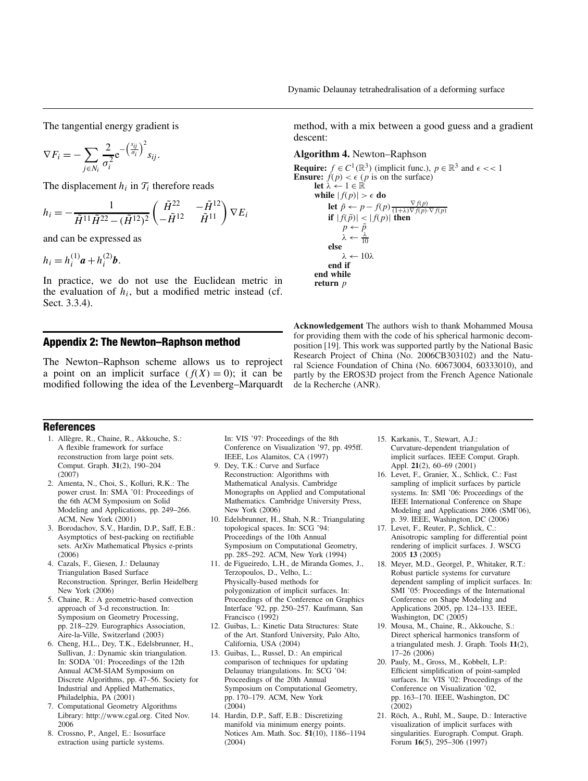The tangential energy gradient is

$$
\nabla F_i = -\sum_{j \in N_i} \frac{2}{\sigma_i^2} e^{-\left(\frac{s_{ij}}{\sigma_i}\right)^2} s_{ij}.
$$

The displacement  $h_i$  in  $\mathcal{T}_i$  therefore reads

$$
h_i = -\frac{1}{\tilde{H}^{11}\tilde{H}^{22} - (\tilde{H}^{12})^2} \begin{pmatrix} \tilde{H}^{22} & -\tilde{H}^{12} \\ -\tilde{H}^{12} & \tilde{H}^{11} \end{pmatrix} \nabla E_i
$$

and can be expressed as

$$
h_i = h_i^{(1)}\mathbf{a} + h_i^{(2)}\mathbf{b}.
$$

In practice, we do not use the Euclidean metric in the evaluation of  $h_i$ , but a modified metric instead (cf. Sect. 3.3.4).

## **Appendix 2: The Newton–Raphson method**

The Newton–Raphson scheme allows us to reproject a point on an implicit surface  $(f(X) = 0)$ ; it can be modified following the idea of the Levenberg–Marquardt

## method, with a mix between a good guess and a gradient descent:

## **Algorithm 4.** Newton–Raphson

```
Require: f \in C^1(\mathbb{R}^3) (implicit func.), p \in \mathbb{R}^3 and \epsilon \ll 1Ensure: \tilde{f}(p) < \epsilon (p is on the surface)
   let \lambda \leftarrow 1 \in \mathbb{R}while |f(p)| > \epsilon do
           let \tilde{p} \leftarrow p - f(p) \frac{\nabla f(p)}{(1+\lambda)\nabla f(p) \cdot \nabla f(p)}if |f(\tilde{p})| < |f(p)| then
                 p \leftarrow \tilde{p}\lambda \leftarrow \frac{\lambda}{10}else
                 λ \leftarrow 10λend if
   end while
   return p
```
**Acknowledgement** The authors wish to thank Mohammed Mousa for providing them with the code of his spherical harmonic decomposition [19]. This work was supported partly by the National Basic Research Project of China (No. 2006CB303102) and the Natural Science Foundation of China (No. 60673004, 60333010), and partly by the EROS3D project from the French Agence Nationale de la Recherche (ANR).

## **References**

- 1. Allègre, R., Chaine, R., Akkouche, S.: A flexible framework for surface reconstruction from large point sets. Comput. Graph. **31**(2), 190–204 (2007)
- 2. Amenta, N., Choi, S., Kolluri, R.K.: The power crust. In: SMA '01: Proceedings of the 6th ACM Symposium on Solid Modeling and Applications, pp. 249–266. ACM, New York (2001)
- 3. Borodachov, S.V., Hardin, D.P., Saff, E.B.: Asymptotics of best-packing on rectifiable sets. ArXiv Mathematical Physics e-prints (2006)
- 4. Cazals, F., Giesen, J.: Delaunay Triangulation Based Surface Reconstruction. Springer, Berlin Heidelberg New York (2006)
- 5. Chaine, R.: A geometric-based convection approach of 3-d reconstruction. In: Symposium on Geometry Processing, pp. 218–229. Eurographics Association, Aire-la-Ville, Switzerland (2003)
- 6. Cheng, H.L., Dey, T.K., Edelsbrunner, H., Sullivan, J.: Dynamic skin triangulation. In: SODA '01: Proceedings of the 12th Annual ACM-SIAM Symposium on Discrete Algorithms, pp. 47–56. Society for Industrial and Applied Mathematics, Philadelphia, PA (2001)
- 7. Computational Geometry Algorithms Library: http://www.cgal.org. Cited Nov. 2006
- 8. Crossno, P., Angel, E.: Isosurface extraction using particle systems.

In: VIS '97: Proceedings of the 8th Conference on Visualization '97, pp. 495ff. IEEE, Los Alamitos, CA (1997)

- 9. Dey, T.K.: Curve and Surface Reconstruction: Algorithms with Mathematical Analysis. Cambridge Monographs on Applied and Computational Mathematics. Cambridge University Press, New York (2006)
- 10. Edelsbrunner, H., Shah, N.R.: Triangulating topological spaces. In: SCG '94: Proceedings of the 10th Annual Symposium on Computational Geometry, pp. 285–292. ACM, New York (1994)
- 11. de Figueiredo, L.H., de Miranda Gomes, J., Terzopoulos, D., Velho, L.: Physically-based methods for polygonization of implicit surfaces. In: Proceedings of the Conference on Graphics Interface '92, pp. 250–257. Kaufmann, San Francisco (1992)
- 12. Guibas, L.: Kinetic Data Structures: State of the Art. Stanford University, Palo Alto, California, USA (2004)
- 13. Guibas, L., Russel, D.: An empirical comparison of techniques for updating Delaunay triangulations. In: SCG '04: Proceedings of the 20th Annual Symposium on Computational Geometry, pp. 170–179. ACM, New York (2004)
- 14. Hardin, D.P., Saff, E.B.: Discretizing manifold via minimum energy points. Notices Am. Math. Soc. **51**(10), 1186–1194 (2004)
- 15. Karkanis, T., Stewart, A.J.: Curvature-dependent triangulation of implicit surfaces. IEEE Comput. Graph. Appl. **21**(2), 60–69 (2001)
- 16. Levet, F., Granier, X., Schlick, C.: Fast sampling of implicit surfaces by particle systems. In: SMI '06: Proceedings of the IEEE International Conference on Shape Modeling and Applications 2006 (SMI'06), p. 39. IEEE, Washington, DC (2006)
- 17. Levet, F., Reuter, P., Schlick, C.: Anisotropic sampling for differential point rendering of implicit surfaces. J. WSCG 2005 **13** (2005)
- 18. Meyer, M.D., Georgel, P., Whitaker, R.T.: Robust particle systems for curvature dependent sampling of implicit surfaces. In: SMI '05: Proceedings of the International Conference on Shape Modeling and Applications 2005, pp. 124–133. IEEE, Washington, DC (2005)
- 19. Mousa, M., Chaine, R., Akkouche, S.: Direct spherical harmonics transform of a triangulated mesh. J. Graph. Tools **11**(2), 17–26 (2006)
- 20. Pauly, M., Gross, M., Kobbelt, L.P.: Efficient simplification of point-sampled surfaces. In: VIS '02: Proceedings of the Conference on Visualization '02, pp. 163–170. IEEE, Washington, DC  $(2002)$
- 21. Röch, A., Ruhl, M., Saupe, D.: Interactive visualization of implicit surfaces with singularities. Eurograph. Comput. Graph. Forum **16**(5), 295–306 (1997)